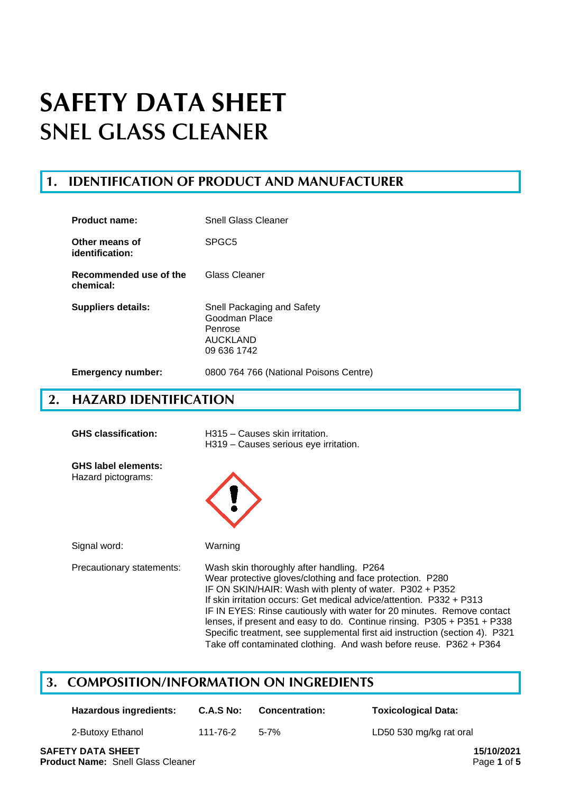## **1. IDENTIFICATION OF PRODUCT AND MANUFACTURER**

| <b>Product name:</b>                | Snell Glass Cleaner                                                                      |
|-------------------------------------|------------------------------------------------------------------------------------------|
| Other means of<br>identification:   | SPGC <sub>5</sub>                                                                        |
| Recommended use of the<br>chemical: | Glass Cleaner                                                                            |
| Suppliers details:                  | Snell Packaging and Safety<br>Goodman Place<br>Penrose<br><b>AUCKLAND</b><br>09 636 1742 |
| <b>Emergency number:</b>            | 0800 764 766 (National Poisons Centre)                                                   |

## **2. HAZARD IDENTIFICATION**

| <b>GHS classification:</b>                       | H315 - Causes skin irritation.<br>H319 - Causes serious eye irritation.                                                                                                                                                                                                                                                                                                                                                                                                                                                                                |
|--------------------------------------------------|--------------------------------------------------------------------------------------------------------------------------------------------------------------------------------------------------------------------------------------------------------------------------------------------------------------------------------------------------------------------------------------------------------------------------------------------------------------------------------------------------------------------------------------------------------|
| <b>GHS label elements:</b><br>Hazard pictograms: |                                                                                                                                                                                                                                                                                                                                                                                                                                                                                                                                                        |
| Signal word:                                     | Warning                                                                                                                                                                                                                                                                                                                                                                                                                                                                                                                                                |
| Precautionary statements:                        | Wash skin thoroughly after handling. P264<br>Wear protective gloves/clothing and face protection. P280<br>IF ON SKIN/HAIR: Wash with plenty of water. P302 + P352<br>If skin irritation occurs: Get medical advice/attention. P332 + P313<br>IF IN EYES: Rinse cautiously with water for 20 minutes. Remove contact<br>lenses, if present and easy to do. Continue rinsing. $P305 + P351 + P338$<br>Specific treatment, see supplemental first aid instruction (section 4). P321<br>Take off contaminated clothing. And wash before reuse. P362 + P364 |

# **3. COMPOSITION/INFORMATION ON INGREDIENTS**

| Hazardous ingredients: | C.A.S No: | <b>Concentration:</b> | <b>Toxicological Data:</b> |
|------------------------|-----------|-----------------------|----------------------------|
| 2-Butoxy Ethanol       | 111-76-2  | $5 - 7%$              | LD50 530 mg/kg rat oral    |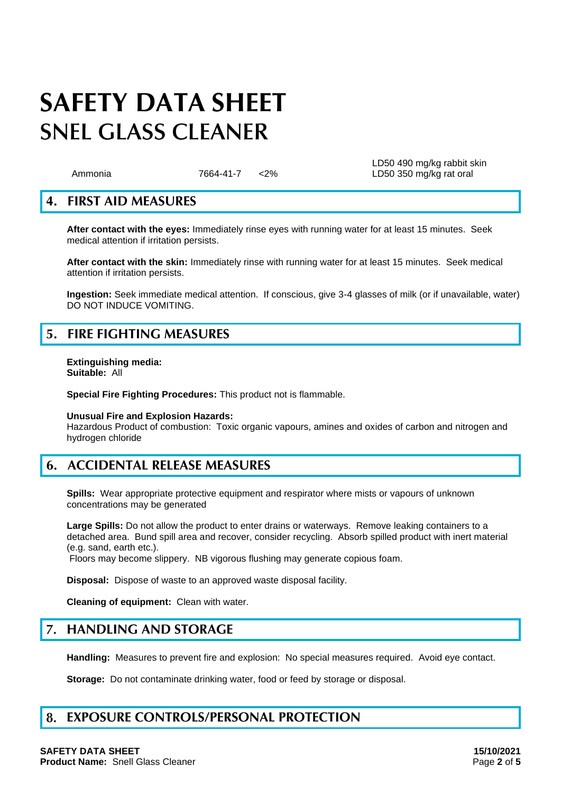LD50 490 mg/kg rabbit skin Ammonia 7664-41-7 <2% LD50 350 mg/kg rat oral

## **4. FIRST AID MEASURES**

**After contact with the eyes:** Immediately rinse eyes with running water for at least 15 minutes. Seek medical attention if irritation persists.

**After contact with the skin:** Immediately rinse with running water for at least 15 minutes. Seek medical attention if irritation persists.

**Ingestion:** Seek immediate medical attention. If conscious, give 3-4 glasses of milk (or if unavailable, water) DO NOT INDUCE VOMITING.

## **5. FIRE FIGHTING MEASURES**

**Extinguishing media: Suitable:** All

**Special Fire Fighting Procedures:** This product not is flammable.

## **Unusual Fire and Explosion Hazards:**

Hazardous Product of combustion: Toxic organic vapours, amines and oxides of carbon and nitrogen and hydrogen chloride

## **6. ACCIDENTAL RELEASE MEASURES**

**Spills:** Wear appropriate protective equipment and respirator where mists or vapours of unknown concentrations may be generated

**Large Spills:** Do not allow the product to enter drains or waterways. Remove leaking containers to a detached area. Bund spill area and recover, consider recycling. Absorb spilled product with inert material (e.g. sand, earth etc.).

Floors may become slippery. NB vigorous flushing may generate copious foam.

**Disposal:** Dispose of waste to an approved waste disposal facility.

**Cleaning of equipment:** Clean with water.

### $7.$ **HANDLING AND STORAGE**

**Handling:** Measures to prevent fire and explosion: No special measures required. Avoid eve contact.

**Storage:** Do not contaminate drinking water, food or feed by storage or disposal.

### 8. **EXPOSURE CONTROLS/PERSONAL PROTECTION**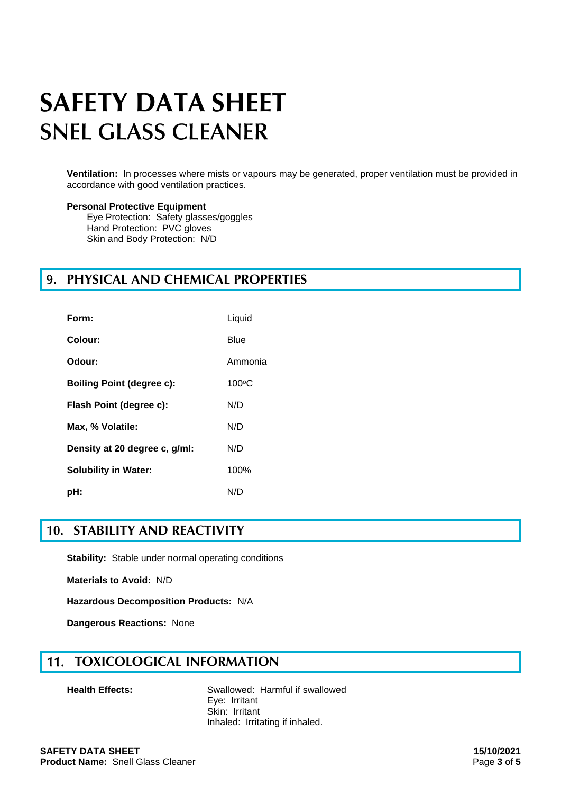**Ventilation:** In processes where mists or vapours may be generated, proper ventilation must be provided in accordance with good ventilation practices.

## **Personal Protective Equipment**

Eye Protection: Safety glasses/goggles Hand Protection: PVC gloves Skin and Body Protection: N/D

## **PHYSICAL AND CHEMICAL PROPERTIES**

| Form:                            | Liquid         |
|----------------------------------|----------------|
| Colour:                          | Blue           |
| Odour:                           | Ammonia        |
| <b>Boiling Point (degree c):</b> | $100\degree C$ |
| Flash Point (degree c):          | N/D            |
| Max, % Volatile:                 | N/D            |
| Density at 20 degree c, g/ml:    | N/D            |
| <b>Solubility in Water:</b>      | 100%           |
| pH:                              | N/D            |

## **STABILITY AND REACTIVITY**

**Stability:** Stable under normal operating conditions

**Materials to Avoid:** N/D

**Hazardous Decomposition Products:** N/A

**Dangerous Reactions:** None

### **TOXICOLOGICAL INFORMATION**  $11.$

**Health Effects:** Swallowed: Harmful if swallowed Eye: Irritant Skin: Irritant Inhaled: Irritating if inhaled.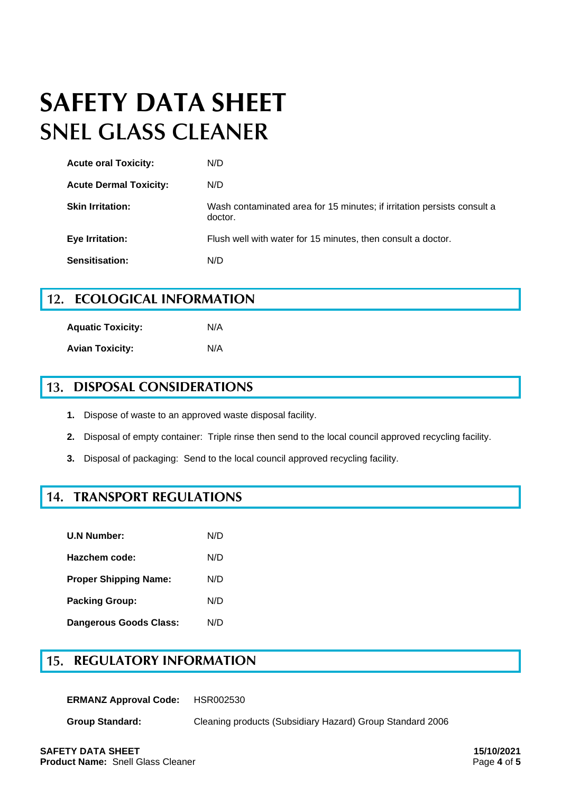| <b>Acute oral Toxicity:</b>   | N/D                                                                                |
|-------------------------------|------------------------------------------------------------------------------------|
| <b>Acute Dermal Toxicity:</b> | N/D                                                                                |
| <b>Skin Irritation:</b>       | Wash contaminated area for 15 minutes; if irritation persists consult a<br>doctor. |
| <b>Eye Irritation:</b>        | Flush well with water for 15 minutes, then consult a doctor.                       |
| Sensitisation:                | N/D                                                                                |

#### $12.$ **ECOLOGICAL INFORMATION**

**Aquatic Toxicity:** N/A **Avian Toxicity:** N/A

#### 13. **DISPOSAL CONSIDERATIONS**

- **1.** Dispose of waste to an approved waste disposal facility.
- **2.** Disposal of empty container: Triple rinse then send to the local council approved recycling facility.
- **3.** Disposal of packaging: Send to the local council approved recycling facility.

## **TRANSPORT REGULATIONS**

| <b>U.N Number:</b>            | N/D |
|-------------------------------|-----|
| Hazchem code:                 | N/D |
| <b>Proper Shipping Name:</b>  | N/D |
| <b>Packing Group:</b>         | N/D |
| <b>Dangerous Goods Class:</b> | N/D |

### 15. **REGULATORY INFORMATION**

**ERMANZ Approval Code:** HSR002530

**Group Standard:** Cleaning products (Subsidiary Hazard) Group Standard 2006